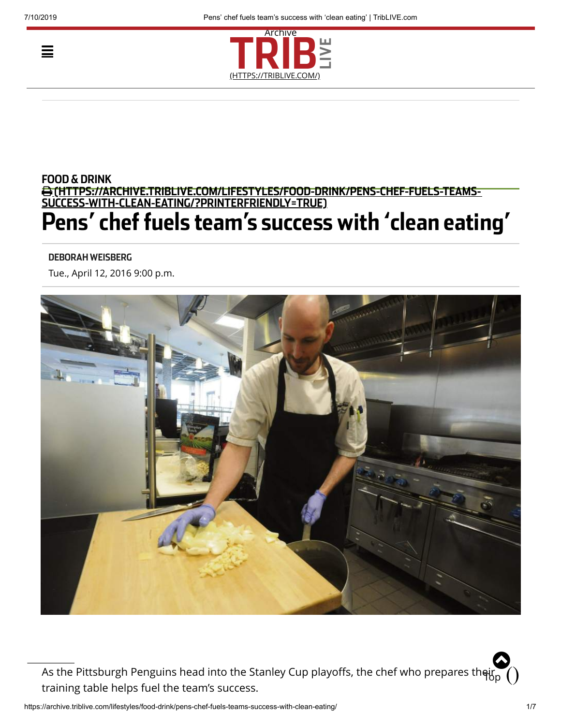Ξ



## [\(HTTPS://ARCHIVE.TRIBLIVE.COM/LIFESTYLES/FOOD-DRINK/PENS-CHEF-FUELS-TEAMS-](https://archive.triblive.com/lifestyles/food-drink/pens-chef-fuels-teams-success-with-clean-eating/?printerfriendly=true)SUCCESS-WITH-CLEAN-EATING/?PRINTERFRIENDLY=TRUE) FOOD & DRINK

# Pens' chef fuels team's success with 'clean eating'

#### DEBORAH WEISBERG

Tue., April 12, 2016 9:00 p.m.



As the Pittsburgh Penguins head into the Stanley Cup playoffs, the chef who prepares th<del>ei</del>r, training table helps fuel the team's success.  $\ddot{\mathbf{Q}}$  $\widetilde{\mathsf{H}}$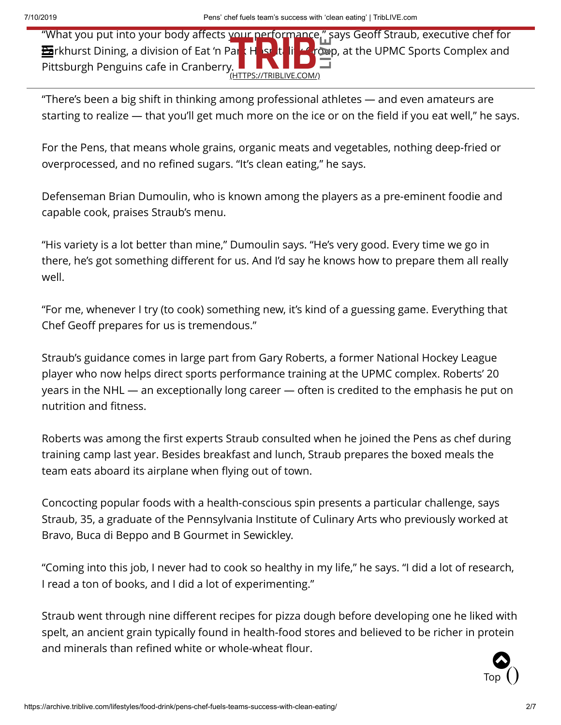"What you put into your body affects your performance," says Geoff Straub, executive chef for **Pa**rkhurst Dining, a division of Eat 'n Par<mark>k Hosp</mark>itality Group, at the UPMC Sports Complex and Pittsburgh Penguins cafe in Cranberry. (HTTPS://TRIBLIVE.COM/)

"There's been a big shift in thinking among professional athletes — and even amateurs are starting to realize — that you'll get much more on the ice or on the field if you eat well," he says.

For the Pens, that means whole grains, organic meats and vegetables, nothing deep-fried or overprocessed, and no refined sugars. "It's clean eating," he says.

Defenseman Brian Dumoulin, who is known among the players as a pre-eminent foodie and capable cook, praises Straub's menu.

"His variety is a lot better than mine," Dumoulin says. "He's very good. Every time we go in there, he's got something different for us. And I'd say he knows how to prepare them all really well.

"For me, whenever I try (to cook) something new, it's kind of a guessing game. Everything that Chef Geoff prepares for us is tremendous."

Straub's guidance comes in large part from Gary Roberts, a former National Hockey League player who now helps direct sports performance training at the UPMC complex. Roberts' 20 years in the NHL — an exceptionally long career — often is credited to the emphasis he put on nutrition and fitness.

Roberts was among the first experts Straub consulted when he joined the Pens as chef during training camp last year. Besides breakfast and lunch, Straub prepares the boxed meals the team eats aboard its airplane when flying out of town.

Concocting popular foods with a health-conscious spin presents a particular challenge, says Straub, 35, a graduate of the Pennsylvania Institute of Culinary Arts who previously worked at Bravo, Buca di Beppo and B Gourmet in Sewickley.

"Coming into this job, I never had to cook so healthy in my life," he says. "I did a lot of research, I read a ton of books, and I did a lot of experimenting."

Straub went through nine different recipes for pizza dough before developing one he liked with spelt, an ancient grain typically found in health-food stores and believed to be richer in protein and minerals than refined white or whole-wheat flour.

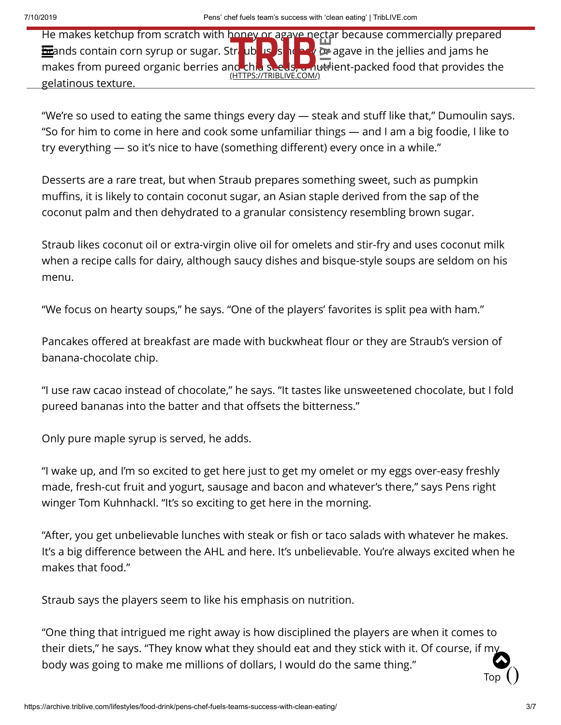He makes ketchup from scratch with honey or agave nectar because commercially prepared brands contain corn syrup or sugar. S[traub uses honey or](https://triblive.com/) agave in the jellies and jams he makes from pureed organic berries and chia seeds, a nutrient-packed food that provides the gelatinous texture. (HTTPS://TRIBLIVE.COM/)

"We're so used to eating the same things every day — steak and stuff like that," Dumoulin says. "So for him to come in here and cook some unfamiliar things — and I am a big foodie, I like to try everything — so it's nice to have (something different) every once in a while."

Desserts are a rare treat, but when Straub prepares something sweet, such as pumpkin muffins, it is likely to contain coconut sugar, an Asian staple derived from the sap of the coconut palm and then dehydrated to a granular consistency resembling brown sugar.

Straub likes coconut oil or extra-virgin olive oil for omelets and stir-fry and uses coconut milk when a recipe calls for dairy, although saucy dishes and bisque-style soups are seldom on his menu.

"We focus on hearty soups," he says. "One of the players' favorites is split pea with ham."

Pancakes offered at breakfast are made with buckwheat flour or they are Straub's version of banana-chocolate chip.

"I use raw cacao instead of chocolate," he says. "It tastes like unsweetened chocolate, but I fold pureed bananas into the batter and that offsets the bitterness."

Only pure maple syrup is served, he adds.

"I wake up, and I'm so excited to get here just to get my omelet or my eggs over-easy freshly made, fresh-cut fruit and yogurt, sausage and bacon and whatever's there," says Pens right winger Tom Kuhnhackl. "It's so exciting to get here in the morning.

"After, you get unbelievable lunches with steak or fish or taco salads with whatever he makes. It's a big difference between the AHL and here. It's unbelievable. You're always excited when he makes that food."

Straub says the players seem to like his emphasis on nutrition.

"One thing that intrigued me right away is how disciplined the players are when it comes to their diets," he says. "They know what they should eat and they stick with it. Of course, if my body was going to make me millions of dollars, I would do the same thing." Top $()$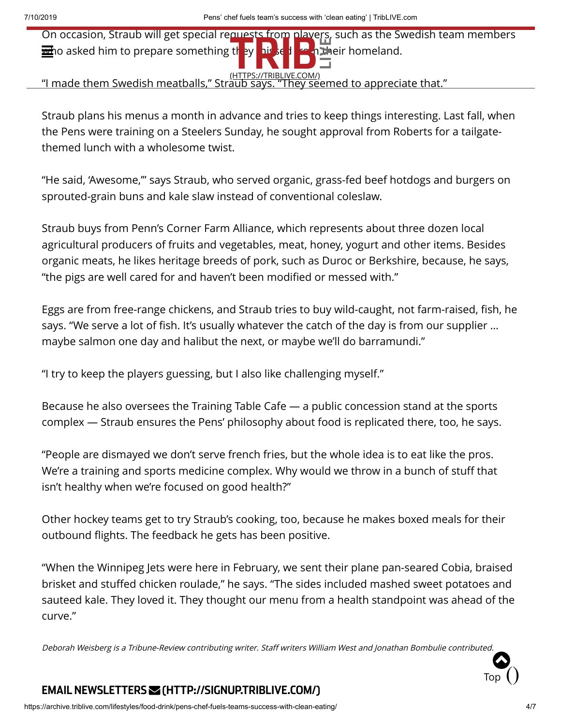On occasion, Straub will get special requests from players, such as the Swedish team members who asked him to prepare something they **his seduced from their homeland.** 

<u>(HTTPS://TRIBLIVE.COM/) (HTTPS://TRIBLIVE.COM/)</u><br>"I made them Swedish meatballs," Straub says. "They seemed to appreciate that."

Straub plans his menus a month in advance and tries to keep things interesting. Last fall, when the Pens were training on a Steelers Sunday, he sought approval from Roberts for a tailgatethemed lunch with a wholesome twist.

"He said, 'Awesome,'" says Straub, who served organic, grass-fed beef hotdogs and burgers on sprouted-grain buns and kale slaw instead of conventional coleslaw.

Straub buys from Penn's Corner Farm Alliance, which represents about three dozen local agricultural producers of fruits and vegetables, meat, honey, yogurt and other items. Besides organic meats, he likes heritage breeds of pork, such as Duroc or Berkshire, because, he says, "the pigs are well cared for and haven't been modified or messed with."

Eggs are from free-range chickens, and Straub tries to buy wild-caught, not farm-raised, fish, he says. "We serve a lot of fish. It's usually whatever the catch of the day is from our supplier … maybe salmon one day and halibut the next, or maybe we'll do barramundi."

"I try to keep the players guessing, but I also like challenging myself."

Because he also oversees the Training Table Cafe — a public concession stand at the sports complex — Straub ensures the Pens' philosophy about food is replicated there, too, he says.

"People are dismayed we don't serve french fries, but the whole idea is to eat like the pros. We're a training and sports medicine complex. Why would we throw in a bunch of stuff that isn't healthy when we're focused on good health?"

Other hockey teams get to try Straub's cooking, too, because he makes boxed meals for their outbound flights. The feedback he gets has been positive.

"When the Winnipeg Jets were here in February, we sent their plane pan-seared Cobia, braised brisket and stuffed chicken roulade," he says. "The sides included mashed sweet potatoes and sauteed kale. They loved it. They thought our menu from a health standpoint was ahead of the curve."

Deborah Weisberg is <sup>a</sup> Tribune-Review contributing writer. Staff writers William West and Jonathan Bombulie contributed.



## EMAIL NEWSLETTERS  [\(HTTP://SIGNUP.TRIBLIVE.COM/\)](http://signup.triblive.com/)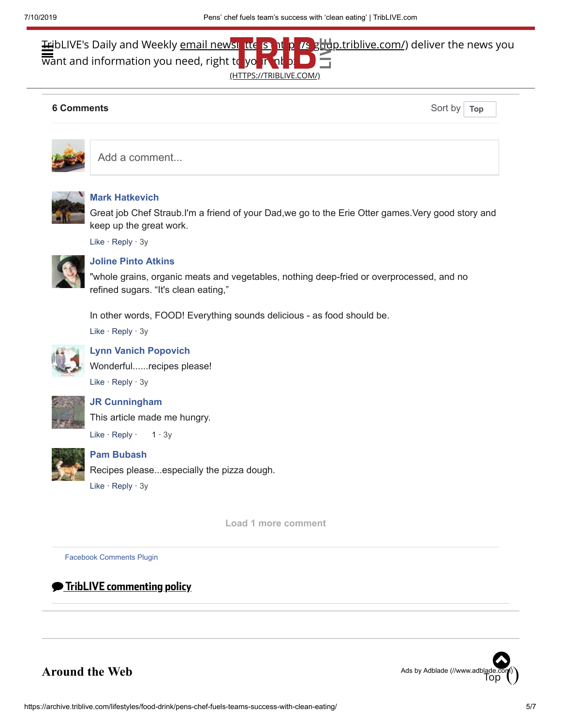# **Tr**ibLIVE's Daily and Weekly <u>email newsletters out in the stude, triblive.com/)</u> deliver the news you  $\overline{\text{w}}$ ant and information you need, right to your (HTTPS://TRIBLIVE.COM/)

#### **6 Comments** Sort by **6 Comments**

**Top**



Add a comment...



#### **[Mark Hatkevich](https://www.facebook.com/profile.php?id=100010938310213)**

Great job Chef Straub.I'm a friend of your Dad,we go to the Erie Otter games.Very good story and keep up the great work.

Like · Reply · [3y](http://triblive.com/lifestyles/fooddrink/10276251-74/straub-says-chef?fb_comment_id=1225249527492995_1228077220543559)



# **[Joline Pinto Atkins](https://www.facebook.com/joline.atkins)**

"whole grains, organic meats and vegetables, nothing deep-fried or overprocessed, and no refined sugars. "It's clean eating,"

In other words, FOOD! Everything sounds delicious - as food should be.

Like · Reply · [3y](http://triblive.com/lifestyles/fooddrink/10276251-74/straub-says-chef?fb_comment_id=1225249527492995_1225881934096421)



## **[Lynn Vanich Popovich](https://www.facebook.com/lbpopovich)**

Wonderful......recipes please!

Like · Reply · [3y](http://triblive.com/lifestyles/fooddrink/10276251-74/straub-says-chef?fb_comment_id=1225249527492995_1225869740764307)



#### **[JR Cunningham](https://www.facebook.com/profile.php?id=100003677419187)**

This article made me hungry.

Like  $\cdot$  Reply  $\cdot$  1  $\cdot$  [3y](http://triblive.com/lifestyles/fooddrink/10276251-74/straub-says-chef?fb_comment_id=1225249527492995_1225616410789640)



## **[Pam Bubash](https://www.facebook.com/pam.bubash)**

Recipes please...especially the pizza dough.

Like · Reply · [3y](http://triblive.com/lifestyles/fooddrink/10276251-74/straub-says-chef?fb_comment_id=1225249527492995_1225655500785731)

**Load 1 more comment**

[Facebook Comments Plugin](https://developers.facebook.com/products/social-plugins/comments/?utm_campaign=social_plugins&utm_medium=offsite_pages&utm_source=comments_plugin)



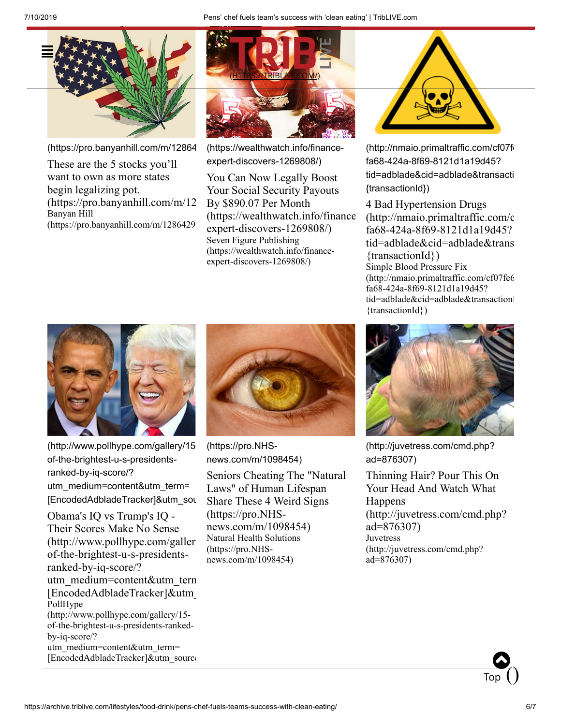

[\(https://pro.banyanhill.com/m/12864](https://pro.banyanhill.com/m/1286429)

These are the 5 stocks you'll want to own as more states begin legalizing pot. [\(https://pro.banyanhill.com/m/12](https://pro.banyanhill.com/m/1286429) Banyan Hill [\(https://pro.banyanhill.com/m/1286429](https://pro.banyanhill.com/m/1286429)



[\(https://wealthwatch.info/finance](https://wealthwatch.info/finance-expert-discovers-1269808/)expert-discovers-1269808/)

You Can Now Legally Boost Your Social Security Payouts By \$890.07 Per Month [\(https://wealthwatch.info/finance](https://wealthwatch.info/finance-expert-discovers-1269808/) expert-discovers-1269808/) Seven Figure Publishing [\(https://wealthwatch.info/finance](https://wealthwatch.info/finance-expert-discovers-1269808/)expert-discovers-1269808/)



[\(http://nmaio.primaltraffic.com/cf07fe](http://nmaio.primaltraffic.com/cf07fe65-fa68-424a-8f69-8121d1a19d45?tid=adblade&cid=adblade&transactionId={transactionId}) fa68-424a-8f69-8121d1a19d45? tid=adblade&cid=adblade&transacti {transactionId})

4 Bad Hypertension Drugs [\(http://nmaio.primaltraffic.com/c](http://nmaio.primaltraffic.com/cf07fe65-fa68-424a-8f69-8121d1a19d45?tid=adblade&cid=adblade&transactionId={transactionId}) fa68-424a-8f69-8121d1a19d45? tid=adblade&cid=adblade&trans {transactionId}) Simple Blood Pressure Fix [\(http://nmaio.primaltraffic.com/cf07fe6](http://nmaio.primaltraffic.com/cf07fe65-fa68-424a-8f69-8121d1a19d45?tid=adblade&cid=adblade&transactionId={transactionId}) fa68-424a-8f69-8121d1a19d45? tid=adblade&cid=adblade&transactionI {transactionId})



(http://www.pollhype.com/gallery/15 of-the-brightest-u-s-presidentsranked-by-iq-score/? utm\_medium=content&utm\_term= [\[EncodedAdbladeTracker\]&utm\\_sou](http://www.pollhype.com/gallery/15-of-the-brightest-u-s-presidents-ranked-by-iq-score/?utm_medium=content&utm_term=[EncodedAdbladeTracker]&utm_source=adblade2&utm_campaign=PHPresidentIQ0529&cm=SB)

Obama's IQ vs Trump's IQ - Their Scores Make No Sense  $(http://www.pollhype.com/galler)$ of-the-brightest-u-s-presidentsranked-by-iq-score/? utm\_medium=content&utm\_term [EncodedAdbladeTracker]&utm\_ PollHype (http://www.pollhype.com/gallery/15 of-the-brightest-u-s-presidents-rankedby-iq-score/? utm\_medium=content&utm\_term= [\[EncodedAdbladeTracker\]&utm\\_source](http://www.pollhype.com/gallery/15-of-the-brightest-u-s-presidents-ranked-by-iq-score/?utm_medium=content&utm_term=[EncodedAdbladeTracker]&utm_source=adblade2&utm_campaign=PHPresidentIQ0529&cm=SB)



(https://pro.NHS[news.com/m/1098454\)](https://pro.nhs-news.com/m/1098454)

Seniors Cheating The "Natural Laws" of Human Lifespan Share These 4 Weird Signs (https://pro.NHS[news.com/m/1098454\)](https://pro.nhs-news.com/m/1098454) [Natural Health Solutions](https://pro.nhs-news.com/m/1098454) (https://pro.NHSnews.com/m/1098454)



[\(http://juvetress.com/cmd.php?](http://juvetress.com/cmd.php?ad=876307) ad=876307)

Thinning Hair? Pour This On Your Head And Watch What Happens [\(http://juvetress.com/cmd.php?](http://juvetress.com/cmd.php?ad=876307) ad=876307) **Juvetress** [\(http://juvetress.com/cmd.php?](http://juvetress.com/cmd.php?ad=876307) ad=876307)